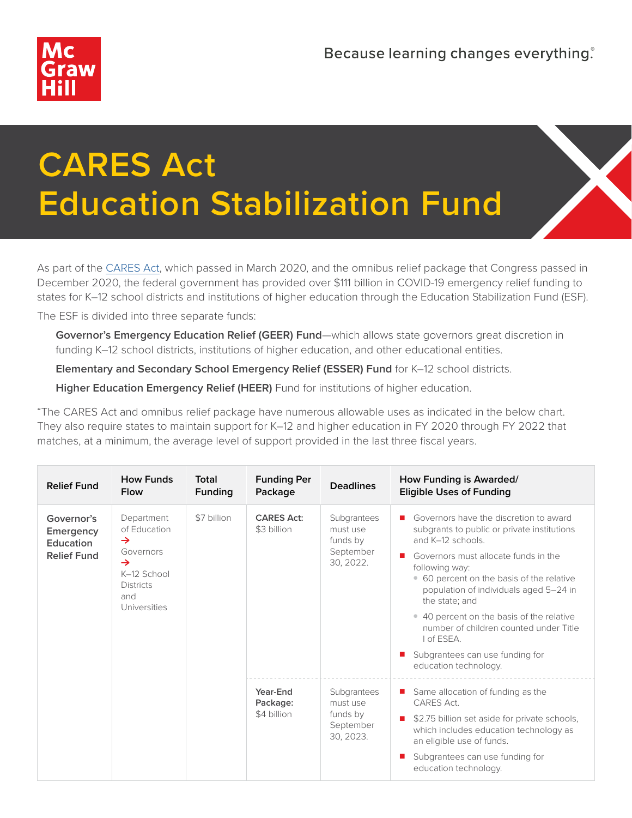

## **CARES Act Education Stabilization Fund**

As part of the [CARES Act,](https://covid-relief-data.ed.gov) which passed in March 2020, and the omnibus relief package that Congress passed in December 2020, the federal government has provided over \$111 billion in COVID-19 emergency relief funding to states for K–12 school districts and institutions of higher education through the Education Stabilization Fund (ESF).

The ESF is divided into three separate funds:

**Governor's Emergency Education Relief (GEER) Fund**—which allows state governors great discretion in funding K–12 school districts, institutions of higher education, and other educational entities.

**Elementary and Secondary School Emergency Relief (ESSER) Fund** for K–12 school districts.

**Higher Education Emergency Relief (HEER)** Fund for institutions of higher education.

"The CARES Act and omnibus relief package have numerous allowable uses as indicated in the below chart. They also require states to maintain support for K–12 and higher education in FY 2020 through FY 2022 that matches, at a minimum, the average level of support provided in the last three fiscal years.

| <b>Relief Fund</b>                                         | <b>How Funds</b><br><b>Flow</b>                                                                                                     | Total<br>Funding | <b>Funding Per</b><br>Package       | <b>Deadlines</b>                                              | How Funding is Awarded/<br><b>Eligible Uses of Funding</b>                                                                                                                                                                                                                                                                                                                                                                                     |
|------------------------------------------------------------|-------------------------------------------------------------------------------------------------------------------------------------|------------------|-------------------------------------|---------------------------------------------------------------|------------------------------------------------------------------------------------------------------------------------------------------------------------------------------------------------------------------------------------------------------------------------------------------------------------------------------------------------------------------------------------------------------------------------------------------------|
| Governor's<br>Emergency<br>Education<br><b>Relief Fund</b> | Department<br>of Education<br>$\rightarrow$<br>Governors<br>$\rightarrow$<br>K-12 School<br><b>Districts</b><br>and<br>Universities | \$7 billion      | <b>CARES Act:</b><br>\$3 billion    | Subgrantees<br>must use<br>funds by<br>September<br>30, 2022. | Governors have the discretion to award<br>subgrants to public or private institutions<br>and K-12 schools.<br>Governors must allocate funds in the<br>following way:<br>• 60 percent on the basis of the relative<br>population of individuals aged 5-24 in<br>the state: and<br>• 40 percent on the basis of the relative<br>number of children counted under Title<br>I of ESEA.<br>Subgrantees can use funding for<br>education technology. |
|                                                            |                                                                                                                                     |                  | Year-End<br>Package:<br>\$4 billion | Subgrantees<br>must use<br>funds by<br>September<br>30, 2023. | Same allocation of funding as the<br>CARES Act.<br>\$2.75 billion set aside for private schools,<br>which includes education technology as<br>an eligible use of funds.<br>Subgrantees can use funding for<br>education technology.                                                                                                                                                                                                            |